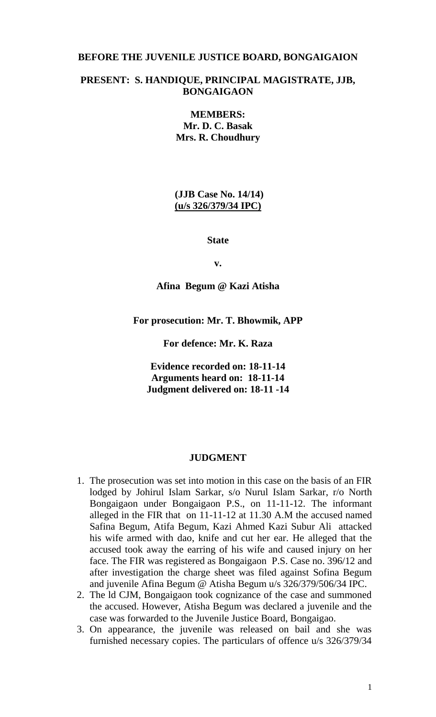### **BEFORE THE JUVENILE JUSTICE BOARD, BONGAIGAION**

## **PRESENT: S. HANDIQUE, PRINCIPAL MAGISTRATE, JJB, BONGAIGAON**

**MEMBERS: Mr. D. C. Basak Mrs. R. Choudhury**

**(JJB Case No. 14/14) (u/s 326/379/34 IPC)**

**State**

**v.**

**Afina Begum @ Kazi Atisha**

**For prosecution: Mr. T. Bhowmik, APP**

**For defence: Mr. K. Raza**

**Evidence recorded on: 18-11-14 Arguments heard on: 18-11-14 Judgment delivered on: 18-11 -14**

### **JUDGMENT**

- 1. The prosecution was set into motion in this case on the basis of an FIR lodged by Johirul Islam Sarkar, s/o Nurul Islam Sarkar, r/o North Bongaigaon under Bongaigaon P.S., on 11-11-12. The informant alleged in the FIR that on 11-11-12 at 11.30 A.M the accused named Safina Begum, Atifa Begum, Kazi Ahmed Kazi Subur Ali attacked his wife armed with dao, knife and cut her ear. He alleged that the accused took away the earring of his wife and caused injury on her face. The FIR was registered as Bongaigaon P.S. Case no. 396/12 and after investigation the charge sheet was filed against Sofina Begum and juvenile Afina Begum @ Atisha Begum u/s 326/379/506/34 IPC.
- 2. The ld CJM, Bongaigaon took cognizance of the case and summoned the accused. However, Atisha Begum was declared a juvenile and the case was forwarded to the Juvenile Justice Board, Bongaigao.
- 3. On appearance, the juvenile was released on bail and she was furnished necessary copies. The particulars of offence u/s 326/379/34